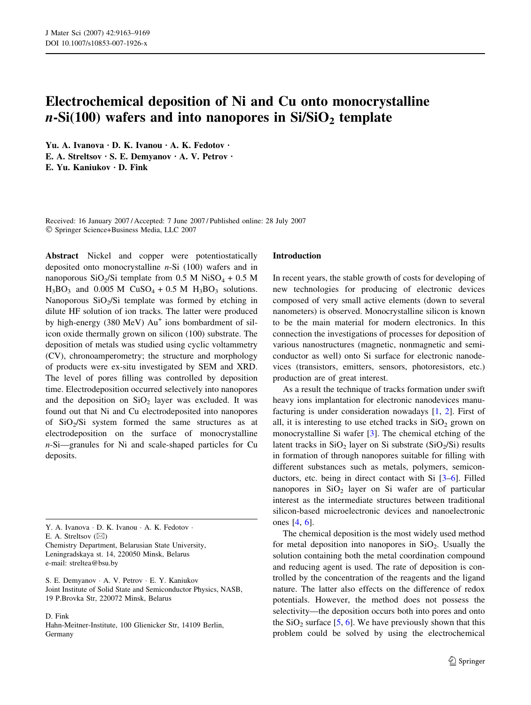# Electrochemical deposition of Ni and Cu onto monocrystalline  $n-Si(100)$  wafers and into nanopores in  $Si/SiO<sub>2</sub>$  template

Yu. A. Ivanova · D. K. Ivanou · A. K. Fedotov · E. A. Streltsov  $\cdot$  S. E. Demyanov  $\cdot$  A. V. Petrov  $\cdot$  $E.$  Yu. Kanjukov  $\cdot$  D. Fink

Received: 16 January 2007 / Accepted: 7 June 2007 / Published online: 28 July 2007 Springer Science+Business Media, LLC 2007

Abstract Nickel and copper were potentiostatically deposited onto monocrystalline  $n-Si$  (100) wafers and in nanoporous SiO<sub>2</sub>/Si template from 0.5 M NiSO<sub>4</sub> + 0.5 M  $H_3BO_3$  and 0.005 M CuSO<sub>4</sub> + 0.5 M H<sub>3</sub>BO<sub>3</sub> solutions. Nanoporous  $SiO<sub>2</sub>/Si$  template was formed by etching in dilute HF solution of ion tracks. The latter were produced by high-energy (380 MeV) Au<sup>+</sup> ions bombardment of silicon oxide thermally grown on silicon (100) substrate. The deposition of metals was studied using cyclic voltammetry (CV), chronoamperometry; the structure and morphology of products were ex-situ investigated by SEM and XRD. The level of pores filling was controlled by deposition time. Electrodeposition occurred selectively into nanopores and the deposition on  $SiO<sub>2</sub>$  layer was excluded. It was found out that Ni and Cu electrodeposited into nanopores of  $SiO<sub>2</sub>/Si$  system formed the same structures as at electrodeposition on the surface of monocrystalline n-Si—granules for Ni and scale-shaped particles for Cu deposits.

Y. A. Ivanova · D. K. Ivanou · A. K. Fedotov ·

E. A. Streltsov  $(\boxtimes)$ 

Chemistry Department, Belarusian State University, Leningradskaya st. 14, 220050 Minsk, Belarus e-mail: streltea@bsu.by

S. E. Demyanov · A. V. Petrov · E. Y. Kaniukov Joint Institute of Solid State and Semiconductor Physics, NASB, 19 P.Brovka Str, 220072 Minsk, Belarus

D. Fink

Hahn-Meitner-Institute, 100 Glienicker Str, 14109 Berlin, Germany

### Introduction

In recent years, the stable growth of costs for developing of new technologies for producing of electronic devices composed of very small active elements (down to several nanometers) is observed. Monocrystalline silicon is known to be the main material for modern electronics. In this connection the investigations of processes for deposition of various nanostructures (magnetic, nonmagnetic and semiconductor as well) onto Si surface for electronic nanodevices (transistors, emitters, sensors, photoresistors, etc.) production are of great interest.

As a result the technique of tracks formation under swift heavy ions implantation for electronic nanodevices manufacturing is under consideration nowadays [[1,](#page-6-0) [2](#page-6-0)]. First of all, it is interesting to use etched tracks in  $SiO<sub>2</sub>$  grown on monocrystalline Si wafer [[3\]](#page-6-0). The chemical etching of the latent tracks in  $SiO<sub>2</sub>$  layer on Si substrate ( $SiO<sub>2</sub>/Si$ ) results in formation of through nanopores suitable for filling with different substances such as metals, polymers, semiconductors, etc. being in direct contact with Si [[3–6\]](#page-6-0). Filled nanopores in  $SiO<sub>2</sub>$  layer on Si wafer are of particular interest as the intermediate structures between traditional silicon-based microelectronic devices and nanoelectronic ones [\[4](#page-6-0), [6\]](#page-6-0).

The chemical deposition is the most widely used method for metal deposition into nanopores in  $SiO<sub>2</sub>$ . Usually the solution containing both the metal coordination compound and reducing agent is used. The rate of deposition is controlled by the concentration of the reagents and the ligand nature. The latter also effects on the difference of redox potentials. However, the method does not possess the selectivity—the deposition occurs both into pores and onto the  $SiO<sub>2</sub>$  surface [[5,](#page-6-0) [6\]](#page-6-0). We have previously shown that this problem could be solved by using the electrochemical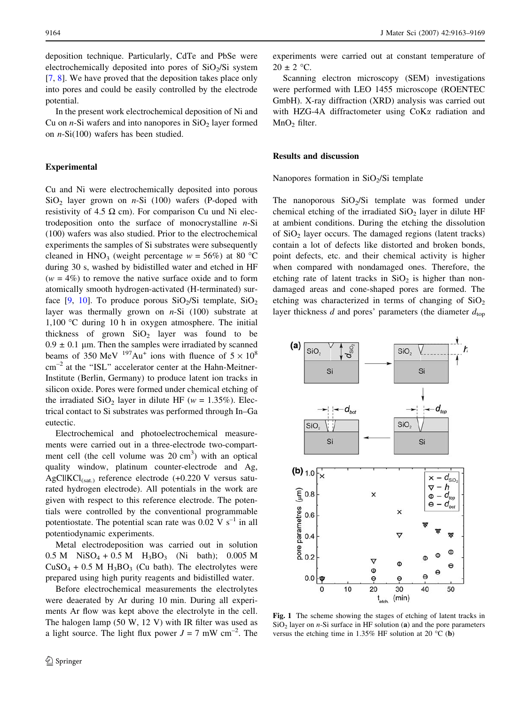<span id="page-1-0"></span>deposition technique. Particularly, CdTe and PbSe were electrochemically deposited into pores of  $SiO<sub>2</sub>/Si$  system [\[7](#page-6-0), [8\]](#page-6-0). We have proved that the deposition takes place only into pores and could be easily controlled by the electrode potential.

In the present work electrochemical deposition of Ni and Cu on *n*-Si wafers and into nanopores in  $SiO<sub>2</sub>$  layer formed on  $n-Si(100)$  wafers has been studied.

#### Experimental

Cu and Ni were electrochemically deposited into porous  $SiO<sub>2</sub>$  layer grown on *n*-Si (100) wafers (P-doped with resistivity of 4.5  $\Omega$  cm). For comparison Cu und Ni electrodeposition onto the surface of monocrystalline  $n-Si$ (100) wafers was also studied. Prior to the electrochemical experiments the samples of Si substrates were subsequently cleaned in HNO<sub>3</sub> (weight percentage  $w = 56\%$ ) at 80 °C during 30 s, washed by bidistilled water and etched in HF  $(w = 4\%)$  to remove the native surface oxide and to form atomically smooth hydrogen-activated (H-terminated) surface  $[9, 10]$  $[9, 10]$  $[9, 10]$  $[9, 10]$ . To produce porous SiO<sub>2</sub>/Si template, SiO<sub>2</sub> layer was thermally grown on  $n-Si$  (100) substrate at 1,100 °C during 10 h in oxygen atmosphere. The initial thickness of grown  $SiO<sub>2</sub>$  layer was found to be  $0.9 \pm 0.1$  µm. Then the samples were irradiated by scanned beams of 350 MeV  $197\text{Au}^+$  ions with fluence of  $5 \times 10^8$ cm<sup>-2</sup> at the "ISL" accelerator center at the Hahn-Meitner-Institute (Berlin, Germany) to produce latent ion tracks in silicon oxide. Pores were formed under chemical etching of the irradiated  $SiO<sub>2</sub>$  layer in dilute HF (w = 1.35%). Electrical contact to Si substrates was performed through In–Ga eutectic.

Electrochemical and photoelectrochemical measurements were carried out in a three-electrode two-compartment cell (the cell volume was  $20 \text{ cm}^3$ ) with an optical quality window, platinum counter-electrode and Ag, AgClIKCl<sub>(sat.)</sub> reference electrode  $(+0.220 \text{ V}$  versus saturated hydrogen electrode). All potentials in the work are given with respect to this reference electrode. The potentials were controlled by the conventional programmable potentiostate. The potential scan rate was  $0.02 \text{ V s}^{-1}$  in all potentiodynamic experiments.

Metal electrodeposition was carried out in solution  $0.5 M$  NiSO<sub>4</sub> + 0.5 M H<sub>3</sub>BO<sub>3</sub> (Ni bath); 0.005 M  $CuSO<sub>4</sub> + 0.5 M H<sub>3</sub>BO<sub>3</sub>$  (Cu bath). The electrolytes were prepared using high purity reagents and bidistilled water.

Before electrochemical measurements the electrolytes were deaerated by Ar during 10 min. During all experiments Ar flow was kept above the electrolyte in the cell. The halogen lamp (50 W, 12 V) with IR filter was used as a light source. The light flux power  $J = 7$  mW cm<sup>-2</sup>. The experiments were carried out at constant temperature of  $20 \pm 2$  °C.

Scanning electron microscopy (SEM) investigations were performed with LEO 1455 microscope (ROENTEC GmbH). X-ray diffraction (XRD) analysis was carried out with HZG-4A diffractometer using CoK $\alpha$  radiation and MnO<sub>2</sub> filter.

## Results and discussion

Nanopores formation in  $SiO<sub>2</sub>/Si$  template

The nanoporous  $SiO<sub>2</sub>/Si$  template was formed under chemical etching of the irradiated  $SiO<sub>2</sub>$  layer in dilute HF at ambient conditions. During the etching the dissolution of  $SiO<sub>2</sub>$  layer occurs. The damaged regions (latent tracks) contain a lot of defects like distorted and broken bonds, point defects, etc. and their chemical activity is higher when compared with nondamaged ones. Therefore, the etching rate of latent tracks in  $SiO<sub>2</sub>$  is higher than nondamaged areas and cone-shaped pores are formed. The etching was characterized in terms of changing of  $SiO<sub>2</sub>$ layer thickness d and pores' parameters (the diameter  $d_{\text{top}}$ 



Fig. 1 The scheme showing the stages of etching of latent tracks in  $SiO<sub>2</sub>$  layer on *n*-Si surface in HF solution (a) and the pore parameters versus the etching time in 1.35% HF solution at 20  $^{\circ}$ C (b)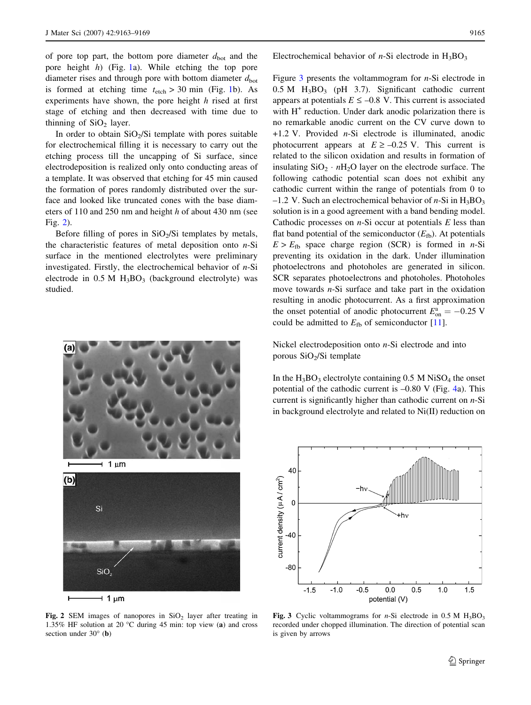of pore top part, the bottom pore diameter  $d_{\text{bot}}$  and the pore height h) (Fig. [1](#page-1-0)a). While etching the top pore diameter rises and through pore with bottom diameter  $d_{\text{bot}}$ is formed at etching time  $t_{\text{etch}} > 30$  min (Fig. [1](#page-1-0)b). As experiments have shown, the pore height  $h$  rised at first stage of etching and then decreased with time due to thinning of  $SiO<sub>2</sub>$  layer.

In order to obtain  $SiO<sub>2</sub>/Si$  template with pores suitable for electrochemical filling it is necessary to carry out the etching process till the uncapping of Si surface, since electrodeposition is realized only onto conducting areas of a template. It was observed that etching for 45 min caused the formation of pores randomly distributed over the surface and looked like truncated cones with the base diameters of 110 and 250 nm and height h of about 430 nm (see Fig. 2).

Before filling of pores in  $SiO<sub>2</sub>/Si$  templates by metals, the characteristic features of metal deposition onto  $n-Si$ surface in the mentioned electrolytes were preliminary investigated. Firstly, the electrochemical behavior of  $n-Si$ electrode in  $0.5$  M  $H_3BO_3$  (background electrolyte) was studied.



Fig. 2 SEM images of nanopores in  $SiO<sub>2</sub>$  layer after treating in 1.35% HF solution at 20 °C during 45 min: top view  $(a)$  and cross section under  $30^{\circ}$  (b)

Electrochemical behavior of *n*-Si electrode in  $H_3BO_3$ 

Figure  $3$  presents the voltammogram for  $n-Si$  electrode in  $0.5$  M  $H_3BO_3$  (pH 3.7). Significant cathodic current appears at potentials  $E \le -0.8$  V. This current is associated with  $H<sup>+</sup>$  reduction. Under dark anodic polarization there is no remarkable anodic current on the CV curve down to +1.2 V. Provided n-Si electrode is illuminated, anodic photocurrent appears at  $E \ge -0.25$  V. This current is related to the silicon oxidation and results in formation of insulating  $SiO_2 \cdot nH_2O$  layer on the electrode surface. The following cathodic potential scan does not exhibit any cathodic current within the range of potentials from 0 to –1.2 V. Such an electrochemical behavior of  $n-Si$  in  $H_3BO_3$ solution is in a good agreement with a band bending model. Cathodic processes on  $n$ -Si occur at potentials  $E$  less than flat band potential of the semiconductor  $(E_{\text{fb}})$ . At potentials  $E > E<sub>fb</sub>$  space charge region (SCR) is formed in *n*-Si preventing its oxidation in the dark. Under illumination photoelectrons and photoholes are generated in silicon. SCR separates photoelectrons and photoholes. Photoholes move towards *n*-Si surface and take part in the oxidation resulting in anodic photocurrent. As a first approximation the onset potential of anodic photocurrent  $E_{on}^a = -0.25$  V could be admitted to  $E_{\text{fb}}$  of semiconductor [\[11](#page-6-0)].

Nickel electrodeposition onto n-Si electrode and into porous  $SiO<sub>2</sub>/Si$  template

In the  $H_3BO_3$  electrolyte containing 0.5 M NiSO<sub>4</sub> the onset potential of the cathodic current is –0.80 V (Fig. [4](#page-3-0)a). This current is significantly higher than cathodic current on  $n-Si$ in background electrolyte and related to Ni(II) reduction on



Fig. 3 Cyclic voltammograms for *n*-Si electrode in 0.5 M  $H_3BO_3$ recorded under chopped illumination. The direction of potential scan is given by arrows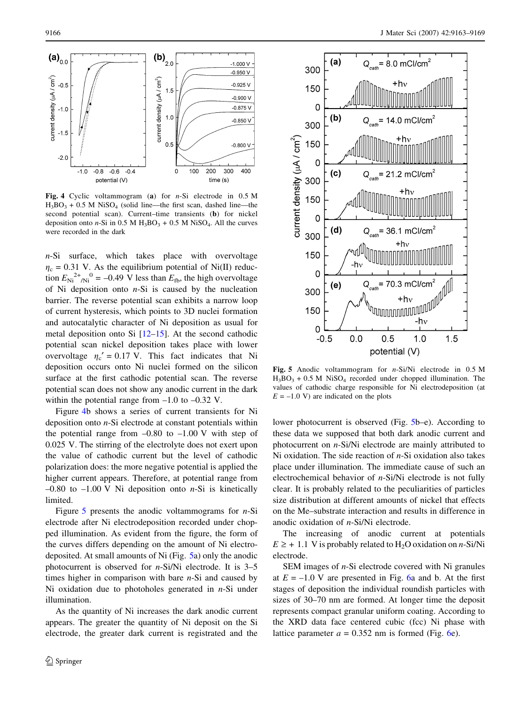<span id="page-3-0"></span>

Fig. 4 Cyclic voltammogram (a) for  $n-Si$  electrode in 0.5 M  $H_3BO_3 + 0.5 M NiSO_4$  (solid line—the first scan, dashed line—the second potential scan). Current–time transients (b) for nickel deposition onto  $n-Si$  in 0.5 M H<sub>3</sub>BO<sub>3</sub> + 0.5 M NiSO<sub>4</sub>. All the curves were recorded in the dark

n-Si surface, which takes place with overvoltage  $\eta_c = 0.31$  V. As the equilibrium potential of Ni(II) reduction  $E_{\text{Ni}}^{2+}$  /N<sub>i</sub><sup>0</sup> = -0.49 V less than  $E_{\text{fb}}$ , the high overvoltage of Ni deposition onto  $n-Si$  is caused by the nucleation barrier. The reverse potential scan exhibits a narrow loop of current hysteresis, which points to 3D nuclei formation and autocatalytic character of Ni deposition as usual for metal deposition onto Si  $[12-15]$ . At the second cathodic potential scan nickel deposition takes place with lower overvoltage  $\eta_c' = 0.17$  V. This fact indicates that Ni deposition occurs onto Ni nuclei formed on the silicon surface at the first cathodic potential scan. The reverse potential scan does not show any anodic current in the dark within the potential range from  $-1.0$  to  $-0.32$  V.

Figure 4b shows a series of current transients for Ni deposition onto n-Si electrode at constant potentials within the potential range from  $-0.80$  to  $-1.00$  V with step of 0.025 V. The stirring of the electrolyte does not exert upon the value of cathodic current but the level of cathodic polarization does: the more negative potential is applied the higher current appears. Therefore, at potential range from  $-0.80$  to  $-1.00$  V Ni deposition onto *n*-Si is kinetically limited.

Figure 5 presents the anodic voltammograms for  $n-Si$ electrode after Ni electrodeposition recorded under chopped illumination. As evident from the figure, the form of the curves differs depending on the amount of Ni electrodeposited. At small amounts of Ni (Fig. 5a) only the anodic photocurrent is observed for n-Si/Ni electrode. It is 3–5 times higher in comparison with bare  $n-Si$  and caused by Ni oxidation due to photoholes generated in  $n-Si$  under illumination.

As the quantity of Ni increases the dark anodic current appears. The greater the quantity of Ni deposit on the Si electrode, the greater dark current is registrated and the



Fig. 5 Anodic voltammogram for n-Si/Ni electrode in 0.5 M  $H_3BO_3 + 0.5 M NiSO_4$  recorded under chopped illumination. The values of cathodic charge responsible for Ni electrodeposition (at  $E = -1.0$  V) are indicated on the plots

lower photocurrent is observed (Fig. 5b–e). According to these data we supposed that both dark anodic current and photocurrent on n-Si/Ni electrode are mainly attributed to Ni oxidation. The side reaction of  $n-Si$  oxidation also takes place under illumination. The immediate cause of such an electrochemical behavior of n-Si/Ni electrode is not fully clear. It is probably related to the peculiarities of particles size distribution at different amounts of nickel that effects on the Me–substrate interaction and results in difference in anodic oxidation of n-Si/Ni electrode.

The increasing of anodic current at potentials  $E \ge +1.1$  V is probably related to H<sub>2</sub>O oxidation on *n*-Si/Ni electrode.

SEM images of n-Si electrode covered with Ni granules at  $E = -1.0$  V are presented in Fig. [6](#page-4-0)a and b. At the first stages of deposition the individual roundish particles with sizes of 30–70 nm are formed. At longer time the deposit represents compact granular uniform coating. According to the XRD data face centered cubic (fcc) Ni phase with lattice parameter  $a = 0.352$  nm is formed (Fig. [6](#page-4-0)e).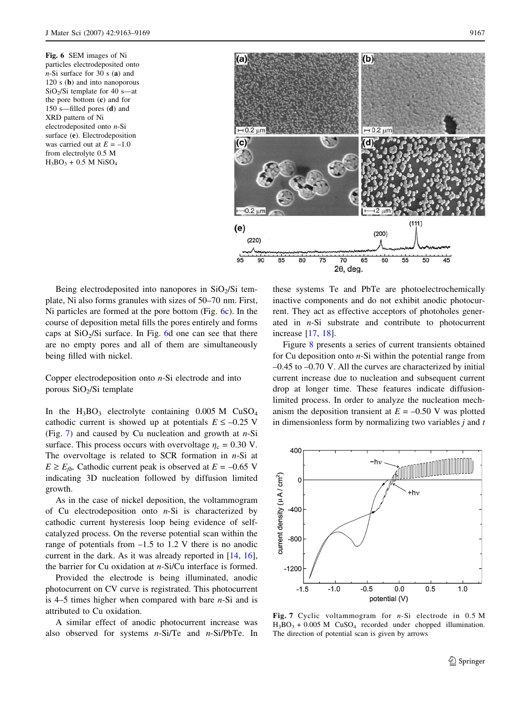<span id="page-4-0"></span>Fig. 6 SEM images of Ni particles electrodeposited onto  $n$ -Si surface for 30 s (a) and 120 s (b) and into nanoporous SiO2/Si template for 40 s—at the pore bottom (c) and for 150 s—filled pores (d) and XRD pattern of Ni electrodeposited onto n-Si surface (e). Electrodeposition was carried out at  $E = -1.0$ from electrolyte 0.5 M  $H_3BO_3 + 0.5 M NiSO<sub>4</sub>$ 



Being electrodeposited into nanopores in  $SiO<sub>2</sub>/Si$  template, Ni also forms granules with sizes of 50–70 nm. First, Ni particles are formed at the pore bottom (Fig. 6c). In the course of deposition metal fills the pores entirely and forms caps at  $SiO<sub>2</sub>/Si$  surface. In Fig. 6d one can see that there are no empty pores and all of them are simultaneously being filled with nickel.

Copper electrodeposition onto  $n$ -Si electrode and into porous  $SiO<sub>2</sub>/Si$  template

In the  $H_3BO_3$  electrolyte containing 0.005 M CuSO<sub>4</sub> cathodic current is showed up at potentials  $E \le -0.25$  V (Fig. 7) and caused by Cu nucleation and growth at  $n-Si$ surface. This process occurs with overvoltage  $\eta_c = 0.30$  V. The overvoltage is related to SCR formation in  $n-Si$  at  $E \ge E_{\text{fb}}$ . Cathodic current peak is observed at  $E = -0.65$  V indicating 3D nucleation followed by diffusion limited growth.

As in the case of nickel deposition, the voltammogram of Cu electrodeposition onto  $n-Si$  is characterized by cathodic current hysteresis loop being evidence of selfcatalyzed process. On the reverse potential scan within the range of potentials from  $-1.5$  to 1.2 V there is no anodic current in the dark. As it was already reported in [[14,](#page-6-0) [16](#page-6-0)], the barrier for Cu oxidation at n-Si/Cu interface is formed.

Provided the electrode is being illuminated, anodic photocurrent on CV curve is registrated. This photocurrent is  $4-5$  times higher when compared with bare  $n-Si$  and is attributed to Cu oxidation.

A similar effect of anodic photocurrent increase was also observed for systems  $n-Si/Te$  and  $n-Si/PbTe$ . In these systems Te and PbTe are photoelectrochemically inactive components and do not exhibit anodic photocurrent. They act as effective acceptors of photoholes generated in n-Si substrate and contribute to photocurrent increase [[17,](#page-6-0) [18](#page-6-0)].

Figure [8](#page-5-0) presents a series of current transients obtained for Cu deposition onto  $n-Si$  within the potential range from –0.45 to –0.70 V. All the curves are characterized by initial current increase due to nucleation and subsequent current drop at longer time. These features indicate diffusionlimited process. In order to analyze the nucleation mechanism the deposition transient at  $E = -0.50$  V was plotted in dimensionless form by normalizing two variables  $j$  and  $t$ 



Fig. 7 Cyclic voltammogram for n-Si electrode in 0.5 M  $H_3BO_3 + 0.005 M$  CuSO<sub>4</sub> recorded under chopped illumination. The direction of potential scan is given by arrows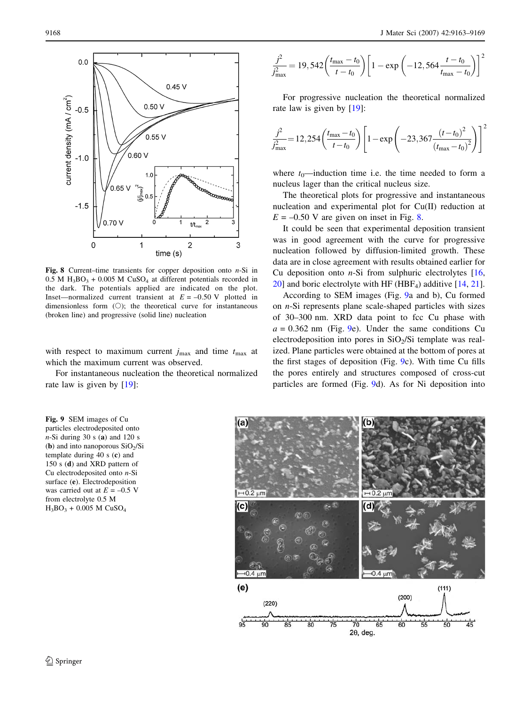<span id="page-5-0"></span>

Fig. 8 Current–time transients for copper deposition onto  $n-Si$  in  $0.5$  M H<sub>3</sub>BO<sub>3</sub> + 0.005 M CuSO<sub>4</sub> at different potentials recorded in the dark. The potentials applied are indicated on the plot. Inset—normalized current transient at  $E = -0.50$  V plotted in dimensionless form (O); the theoretical curve for instantaneous (broken line) and progressive (solid line) nucleation

with respect to maximum current  $j_{\text{max}}$  and time  $t_{\text{max}}$  at which the maximum current was observed.

For instantaneous nucleation the theoretical normalized rate law is given by [\[19](#page-6-0)]:

Fig. 9 SEM images of Cu particles electrodeposited onto  $n-Si$  during 30 s (a) and 120 s (**b**) and into nanoporous  $SiO<sub>2</sub>/Si$ template during 40 s (c) and 150 s (d) and XRD pattern of Cu electrodeposited onto n-Si surface (e). Electrodeposition was carried out at  $E = -0.5$  V from electrolyte 0.5 M  $H_3BO_3 + 0.005 M CuSO_4$ 

$$
\frac{j^2}{j_{\text{max}}^2} = 19,542 \left( \frac{t_{\text{max}} - t_0}{t - t_0} \right) \left[ 1 - \exp \left( -12,564 \frac{t - t_0}{t_{\text{max}} - t_0} \right) \right]^2
$$

For progressive nucleation the theoretical normalized rate law is given by [\[19](#page-6-0)]:

$$
\frac{j^2}{j_{\text{max}}^2} = 12,254 \left( \frac{t_{\text{max}} - t_0}{t - t_0} \right) \left[ 1 - \exp\left( -23,367 \frac{(t - t_0)^2}{(t_{\text{max}} - t_0)^2} \right) \right]^2
$$

where  $t_0$ —induction time i.e. the time needed to form a nucleus lager than the critical nucleus size.

The theoretical plots for progressive and instantaneous nucleation and experimental plot for Cu(II) reduction at  $E = -0.50$  V are given on inset in Fig. 8.

It could be seen that experimental deposition transient was in good agreement with the curve for progressive nucleation followed by diffusion-limited growth. These data are in close agreement with results obtained earlier for Cu deposition onto  $n-Si$  from sulphuric electrolytes  $[16,$  $[16,$  $20$ ] and boric electrolyte with HF (HBF<sub>4</sub>) additive [\[14](#page-6-0), [21](#page-6-0)].

According to SEM images (Fig. 9a and b), Cu formed on n-Si represents plane scale-shaped particles with sizes of 30–300 nm. XRD data point to fcc Cu phase with  $a = 0.362$  nm (Fig. 9e). Under the same conditions Cu electrodeposition into pores in  $SiO<sub>2</sub>/Si$  template was realized. Plane particles were obtained at the bottom of pores at the first stages of deposition (Fig. 9c). With time Cu fills the pores entirely and structures composed of cross-cut particles are formed (Fig. 9d). As for Ni deposition into